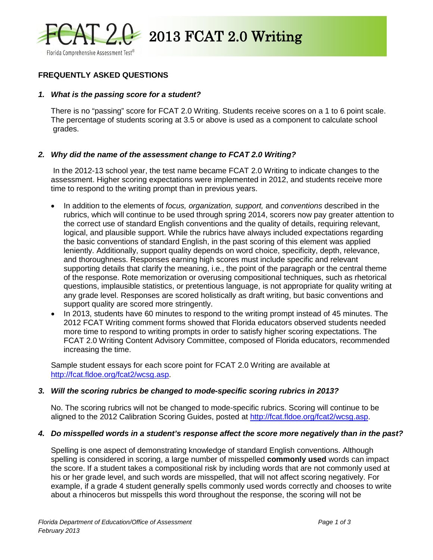

 $2013$  FCAT 2.0 Writing

# **FREQUENTLY ASKED QUESTIONS**

#### *1. What is the passing score for a student?*

There is no "passing" score for FCAT 2.0 Writing. Students receive scores on a 1 to 6 point scale. The percentage of students scoring at 3.5 or above is used as a component to calculate school grades.

#### *2. Why did the name of the assessment change to FCAT 2.0 Writing?*

In the 2012-13 school year, the test name became FCAT 2.0 Writing to indicate changes to the assessment. Higher scoring expectations were implemented in 2012, and students receive more time to respond to the writing prompt than in previous years.

- In addition to the elements of *focus, organization, support,* and *conventions* described in the rubrics, which will continue to be used through spring 2014, scorers now pay greater attention to the correct use of standard English conventions and the quality of details, requiring relevant, logical, and plausible support. While the rubrics have always included expectations regarding the basic conventions of standard English, in the past scoring of this element was applied leniently. Additionally, support quality depends on word choice, specificity, depth, relevance, and thoroughness. Responses earning high scores must include specific and relevant supporting details that clarify the meaning, i.e., the point of the paragraph or the central theme of the response. Rote memorization or overusing compositional techniques, such as rhetorical questions, implausible statistics, or pretentious language, is not appropriate for quality writing at any grade level. Responses are scored holistically as draft writing, but basic conventions and support quality are scored more stringently.
- In 2013, students have 60 minutes to respond to the writing prompt instead of 45 minutes. The 2012 FCAT Writing comment forms showed that Florida educators observed students needed more time to respond to writing prompts in order to satisfy higher scoring expectations. The FCAT 2.0 Writing Content Advisory Committee, composed of Florida educators, recommended increasing the time.

Sample student essays for each score point for FCAT 2.0 Writing are available at [http://fcat.fldoe.org/fcat2/wcsg.asp.](http://fcat.fldoe.org/fcat2/wcsg.asp)

#### *3. Will the scoring rubrics be changed to mode-specific scoring rubrics in 2013?*

No. The scoring rubrics will not be changed to mode-specific rubrics. Scoring will continue to be aligned to the 2012 Calibration Scoring Guides, posted at [http://fcat.fldoe.org/fcat2/wcsg.asp.](http://fcat.fldoe.org/fcat2/wcsg.asp)

#### *4. Do misspelled words in a student's response affect the score more negatively than in the past?*

Spelling is one aspect of demonstrating knowledge of standard English conventions. Although spelling is considered in scoring, a large number of misspelled **commonly used** words can impact the score. If a student takes a compositional risk by including words that are not commonly used at his or her grade level, and such words are misspelled, that will not affect scoring negatively. For example, if a grade 4 student generally spells commonly used words correctly and chooses to write about a rhinoceros but misspells this word throughout the response, the scoring will not be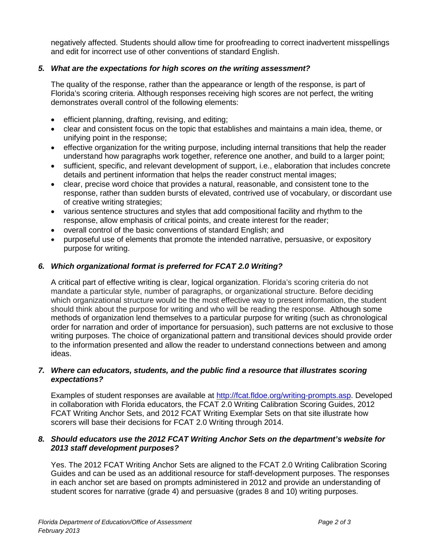negatively affected. Students should allow time for proofreading to correct inadvertent misspellings and edit for incorrect use of other conventions of standard English.

# *5. What are the expectations for high scores on the writing assessment?*

The quality of the response, rather than the appearance or length of the response, is part of Florida's scoring criteria. Although responses receiving high scores are not perfect, the writing demonstrates overall control of the following elements:

- efficient planning, drafting, revising, and editing;
- clear and consistent focus on the topic that establishes and maintains a main idea, theme, or unifying point in the response;
- effective organization for the writing purpose, including internal transitions that help the reader understand how paragraphs work together, reference one another, and build to a larger point;
- sufficient, specific, and relevant development of support, i.e., elaboration that includes concrete details and pertinent information that helps the reader construct mental images;
- clear, precise word choice that provides a natural, reasonable, and consistent tone to the response, rather than sudden bursts of elevated, contrived use of vocabulary, or discordant use of creative writing strategies;
- various sentence structures and styles that add compositional facility and rhythm to the response, allow emphasis of critical points, and create interest for the reader;
- overall control of the basic conventions of standard English; and
- purposeful use of elements that promote the intended narrative, persuasive, or expository purpose for writing.

## *6. Which organizational format is preferred for FCAT 2.0 Writing?*

A critical part of effective writing is clear, logical organization. Florida's scoring criteria do not mandate a particular style, number of paragraphs, or organizational structure. Before deciding which organizational structure would be the most effective way to present information, the student should think about the purpose for writing and who will be reading the response. Although some methods of organization lend themselves to a particular purpose for writing (such as chronological order for narration and order of importance for persuasion), such patterns are not exclusive to those writing purposes. The choice of organizational pattern and transitional devices should provide order to the information presented and allow the reader to understand connections between and among ideas.

## *7. Where can educators, students, and the public find a resource that illustrates scoring expectations?*

Examples of student responses are available at [http://fcat.fldoe.org/writing-prompts.asp.](http://fcat.fldoe.org/writing-prompts.asp) Developed in collaboration with Florida educators, the FCAT 2.0 Writing Calibration Scoring Guides, 2012 FCAT Writing Anchor Sets, and 2012 FCAT Writing Exemplar Sets on that site illustrate how scorers will base their decisions for FCAT 2.0 Writing through 2014.

## *8. Should educators use the 2012 FCAT Writing Anchor Sets on the department's website for 2013 staff development purposes?*

Yes. The 2012 FCAT Writing Anchor Sets are aligned to the FCAT 2.0 Writing Calibration Scoring Guides and can be used as an additional resource for staff-development purposes. The responses in each anchor set are based on prompts administered in 2012 and provide an understanding of student scores for narrative (grade 4) and persuasive (grades 8 and 10) writing purposes.